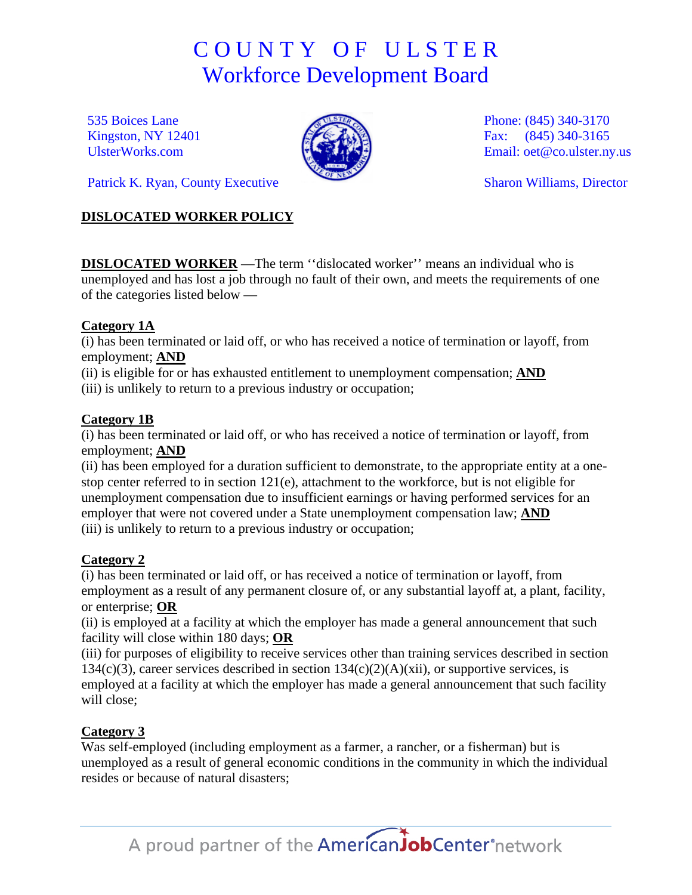# C O U N T Y O F U L S T E R Workforce Development Board

535 Boices Lane Kingston, NY 12401 [UlsterWorks.com](http://www.ulsterworks.com/)



Phone: (845) 340-3170 Fax: (845) 340-3165 Email: [oet@co.ulster.ny.us](mailto:oet@co.ulster.ny.us)

Sharon Williams, Director

Patrick K. Ryan, County Executive

### **DISLOCATED WORKER POLICY**

**DISLOCATED WORKER** —The term ''dislocated worker'' means an individual who is unemployed and has lost a job through no fault of their own, and meets the requirements of one of the categories listed below —

### **Category 1A**

(i) has been terminated or laid off, or who has received a notice of termination or layoff, from employment; **AND**

(ii) is eligible for or has exhausted entitlement to unemployment compensation; **AND**

(iii) is unlikely to return to a previous industry or occupation;

# **Category 1B**

(i) has been terminated or laid off, or who has received a notice of termination or layoff, from employment; **AND**

(ii) has been employed for a duration sufficient to demonstrate, to the appropriate entity at a onestop center referred to in section 121(e), attachment to the workforce, but is not eligible for unemployment compensation due to insufficient earnings or having performed services for an employer that were not covered under a State unemployment compensation law; **AND** (iii) is unlikely to return to a previous industry or occupation;

# **Category 2**

(i) has been terminated or laid off, or has received a notice of termination or layoff, from employment as a result of any permanent closure of, or any substantial layoff at, a plant, facility, or enterprise; **OR**

(ii) is employed at a facility at which the employer has made a general announcement that such facility will close within 180 days; **OR**

(iii) for purposes of eligibility to receive services other than training services described in section  $134(c)(3)$ , career services described in section  $134(c)(2)(A)(xii)$ , or supportive services, is employed at a facility at which the employer has made a general announcement that such facility will close;

# **Category 3**

Was self-employed (including employment as a farmer, a rancher, or a fisherman) but is unemployed as a result of general economic conditions in the community in which the individual resides or because of natural disasters;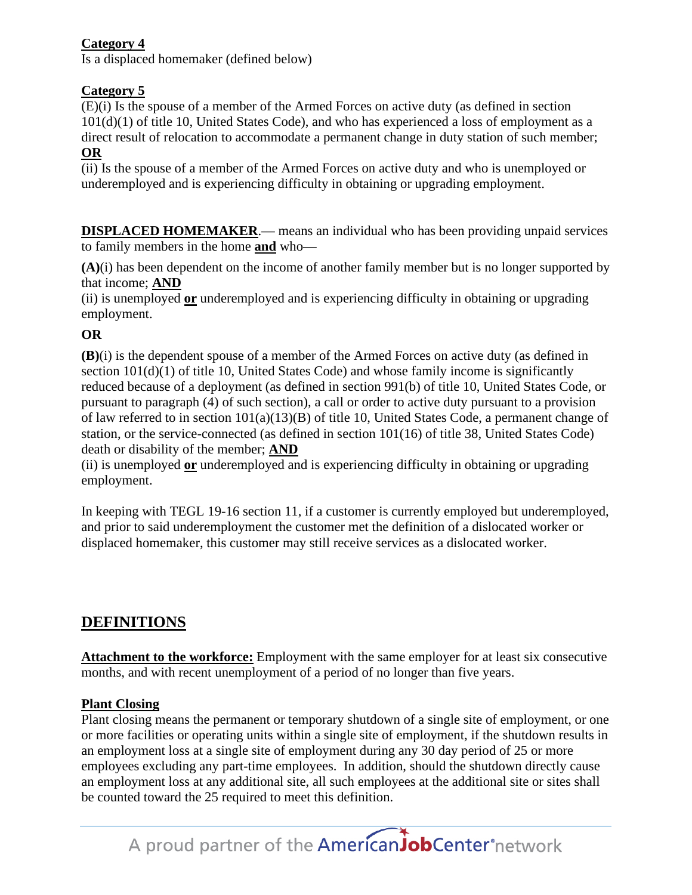#### **Category 4**

Is a displaced homemaker (defined below)

# **Category 5**

(E)(i) Is the spouse of a member of the Armed Forces on active duty (as defined in section  $101(d)(1)$  of title 10, United States Code), and who has experienced a loss of employment as a direct result of relocation to accommodate a permanent change in duty station of such member; **OR**

(ii) Is the spouse of a member of the Armed Forces on active duty and who is unemployed or underemployed and is experiencing difficulty in obtaining or upgrading employment.

**DISPLACED HOMEMAKER.—** means an individual who has been providing unpaid services to family members in the home **and** who—

**(A)**(i) has been dependent on the income of another family member but is no longer supported by that income; **AND**

(ii) is unemployed **or** underemployed and is experiencing difficulty in obtaining or upgrading employment.

# **OR**

**(B)**(i) is the dependent spouse of a member of the Armed Forces on active duty (as defined in section  $101(d)(1)$  of title 10, United States Code) and whose family income is significantly reduced because of a deployment (as defined in section 991(b) of title 10, United States Code, or pursuant to paragraph (4) of such section), a call or order to active duty pursuant to a provision of law referred to in section 101(a)(13)(B) of title 10, United States Code, a permanent change of station, or the service-connected (as defined in section 101(16) of title 38, United States Code) death or disability of the member; **AND**

(ii) is unemployed **or** underemployed and is experiencing difficulty in obtaining or upgrading employment.

In keeping with TEGL 19-16 section 11, if a customer is currently employed but underemployed, and prior to said underemployment the customer met the definition of a dislocated worker or displaced homemaker, this customer may still receive services as a dislocated worker.

# **DEFINITIONS**

**Attachment to the workforce:** Employment with the same employer for at least six consecutive months, and with recent unemployment of a period of no longer than five years.

### **Plant Closing**

Plant closing means the permanent or temporary shutdown of a single site of employment, or one or more facilities or operating units within a single site of employment, if the shutdown results in an employment loss at a single site of employment during any 30 day period of 25 or more employees excluding any part-time employees. In addition, should the shutdown directly cause an employment loss at any additional site, all such employees at the additional site or sites shall be counted toward the 25 required to meet this definition.

A proud partner of the **American Job Center** network